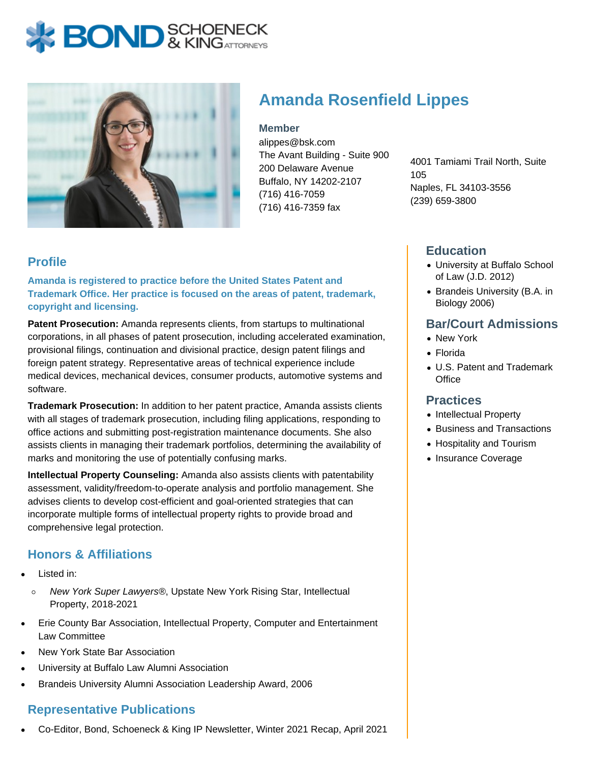# **BOND** & KING ATTORNECK



# **Amanda Rosenfield Lippes**

**Member**

alippes@bsk.com The Avant Building - Suite 900 200 Delaware Avenue Buffalo, NY 14202-2107 (716) 416-7059 (716) 416-7359 fax

4001 Tamiami Trail North, Suite 105 Naples, FL 34103-3556 (239) 659-3800

#### **Profile**

**Amanda is registered to practice before the United States Patent and Trademark Office. Her practice is focused on the areas of patent, trademark, copyright and licensing.**

**Patent Prosecution:** Amanda represents clients, from startups to multinational corporations, in all phases of patent prosecution, including accelerated examination, provisional filings, continuation and divisional practice, design patent filings and foreign patent strategy. Representative areas of technical experience include medical devices, mechanical devices, consumer products, automotive systems and software.

**Trademark Prosecution:** In addition to her patent practice, Amanda assists clients with all stages of trademark prosecution, including filing applications, responding to office actions and submitting post-registration maintenance documents. She also assists clients in managing their trademark portfolios, determining the availability of marks and monitoring the use of potentially confusing marks.

**Intellectual Property Counseling:** Amanda also assists clients with patentability assessment, validity/freedom-to-operate analysis and portfolio management. She advises clients to develop cost-efficient and goal-oriented strategies that can incorporate multiple forms of intellectual property rights to provide broad and comprehensive legal protection.

## **Honors & Affiliations**

- Listed in:
	- New York Super Lawyers®, Upstate New York Rising Star, Intellectual  $\circ$ Property, 2018-2021
- Erie County Bar Association, Intellectual Property, Computer and Entertainment Law Committee
- New York State Bar Association
- University at Buffalo Law Alumni Association
- Brandeis University Alumni Association Leadership Award, 2006

## **Representative Publications**

Co-Editor, Bond, Schoeneck & King IP Newsletter, Winter 2021 Recap, April 2021

#### **Education**

- University at Buffalo School of Law (J.D. 2012)
- Brandeis University (B.A. in Biology 2006)

#### **Bar/Court Admissions**

- New York
- Florida
- U.S. Patent and Trademark **Office**

#### **Practices**

- Intellectual Property
- Business and Transactions
- Hospitality and Tourism
- Insurance Coverage